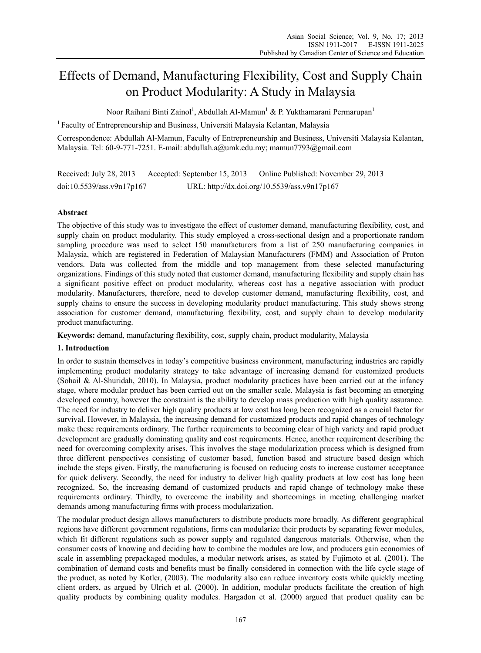# Effects of Demand, Manufacturing Flexibility, Cost and Supply Chain on Product Modularity: A Study in Malaysia

Noor Raihani Binti Zainol<sup>1</sup>, Abdullah Al-Mamun<sup>1</sup> & P. Yukthamarani Permarupan<sup>1</sup>

<sup>1</sup> Faculty of Entrepreneurship and Business, Universiti Malaysia Kelantan, Malaysia

Correspondence: Abdullah Al-Mamun, Faculty of Entrepreneurship and Business, Universiti Malaysia Kelantan, Malaysia. Tel: 60-9-771-7251. E-mail: abdullah.a@umk.edu.my; mamun7793@gmail.com

Received: July 28, 2013 Accepted: September 15, 2013 Online Published: November 29, 2013 doi:10.5539/ass.v9n17p167 URL: http://dx.doi.org/10.5539/ass.v9n17p167

# **Abstract**

The objective of this study was to investigate the effect of customer demand, manufacturing flexibility, cost, and supply chain on product modularity. This study employed a cross-sectional design and a proportionate random sampling procedure was used to select 150 manufacturers from a list of 250 manufacturing companies in Malaysia, which are registered in Federation of Malaysian Manufacturers (FMM) and Association of Proton vendors. Data was collected from the middle and top management from these selected manufacturing organizations. Findings of this study noted that customer demand, manufacturing flexibility and supply chain has a significant positive effect on product modularity, whereas cost has a negative association with product modularity. Manufacturers, therefore, need to develop customer demand, manufacturing flexibility, cost, and supply chains to ensure the success in developing modularity product manufacturing. This study shows strong association for customer demand, manufacturing flexibility, cost, and supply chain to develop modularity product manufacturing.

**Keywords:** demand, manufacturing flexibility, cost, supply chain, product modularity, Malaysia

#### **1. Introduction**

In order to sustain themselves in today's competitive business environment, manufacturing industries are rapidly implementing product modularity strategy to take advantage of increasing demand for customized products (Sohail & Al-Shuridah, 2010). In Malaysia, product modularity practices have been carried out at the infancy stage, where modular product has been carried out on the smaller scale. Malaysia is fast becoming an emerging developed country, however the constraint is the ability to develop mass production with high quality assurance. The need for industry to deliver high quality products at low cost has long been recognized as a crucial factor for survival. However, in Malaysia, the increasing demand for customized products and rapid changes of technology make these requirements ordinary. The further requirements to becoming clear of high variety and rapid product development are gradually dominating quality and cost requirements. Hence, another requirement describing the need for overcoming complexity arises. This involves the stage modularization process which is designed from three different perspectives consisting of customer based, function based and structure based design which include the steps given. Firstly, the manufacturing is focused on reducing costs to increase customer acceptance for quick delivery. Secondly, the need for industry to deliver high quality products at low cost has long been recognized. So, the increasing demand of customized products and rapid change of technology make these requirements ordinary. Thirdly, to overcome the inability and shortcomings in meeting challenging market demands among manufacturing firms with process modularization.

The modular product design allows manufacturers to distribute products more broadly. As different geographical regions have different government regulations, firms can modularize their products by separating fewer modules, which fit different regulations such as power supply and regulated dangerous materials. Otherwise, when the consumer costs of knowing and deciding how to combine the modules are low, and producers gain economies of scale in assembling prepackaged modules, a modular network arises, as stated by Fujimoto et al. (2001). The combination of demand costs and benefits must be finally considered in connection with the life cycle stage of the product, as noted by Kotler, (2003). The modularity also can reduce inventory costs while quickly meeting client orders, as argued by Ulrich et al. (2000). In addition, modular products facilitate the creation of high quality products by combining quality modules. Hargadon et al. (2000) argued that product quality can be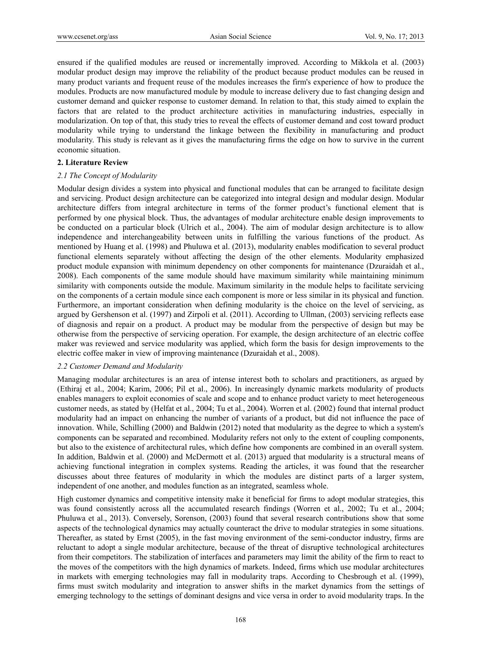ensured if the qualified modules are reused or incrementally improved. According to Mikkola et al. (2003) modular product design may improve the reliability of the product because product modules can be reused in many product variants and frequent reuse of the modules increases the firm's experience of how to produce the modules. Products are now manufactured module by module to increase delivery due to fast changing design and customer demand and quicker response to customer demand. In relation to that, this study aimed to explain the factors that are related to the product architecture activities in manufacturing industries, especially in modularization. On top of that, this study tries to reveal the effects of customer demand and cost toward product modularity while trying to understand the linkage between the flexibility in manufacturing and product modularity. This study is relevant as it gives the manufacturing firms the edge on how to survive in the current economic situation.

#### **2. Literature Review**

#### *2.1 The Concept of Modularity*

Modular design divides a system into physical and functional modules that can be arranged to facilitate design and servicing. Product design architecture can be categorized into integral design and modular design. Modular architecture differs from integral architecture in terms of the former product's functional element that is performed by one physical block. Thus, the advantages of modular architecture enable design improvements to be conducted on a particular block (Ulrich et al., 2004). The aim of modular design architecture is to allow independence and interchangeability between units in fulfilling the various functions of the product. As mentioned by Huang et al. (1998) and Phuluwa et al. (2013), modularity enables modification to several product functional elements separately without affecting the design of the other elements. Modularity emphasized product module expansion with minimum dependency on other components for maintenance (Dzuraidah et al., 2008). Each components of the same module should have maximum similarity while maintaining minimum similarity with components outside the module. Maximum similarity in the module helps to facilitate servicing on the components of a certain module since each component is more or less similar in its physical and function. Furthermore, an important consideration when defining modularity is the choice on the level of servicing, as argued by Gershenson et al. (1997) and Zirpoli et al. (2011). According to Ullman, (2003) servicing reflects ease of diagnosis and repair on a product. A product may be modular from the perspective of design but may be otherwise from the perspective of servicing operation. For example, the design architecture of an electric coffee maker was reviewed and service modularity was applied, which form the basis for design improvements to the electric coffee maker in view of improving maintenance (Dzuraidah et al., 2008).

#### *2.2 Customer Demand and Modularity*

Managing modular architectures is an area of intense interest both to scholars and practitioners, as argued by (Ethiraj et al., 2004; Karim, 2006; Pil et al., 2006). In increasingly dynamic markets modularity of products enables managers to exploit economies of scale and scope and to enhance product variety to meet heterogeneous customer needs, as stated by (Helfat et al., 2004; Tu et al., 2004). Worren et al. (2002) found that internal product modularity had an impact on enhancing the number of variants of a product, but did not influence the pace of innovation. While, Schilling (2000) and Baldwin (2012) noted that modularity as the degree to which a system's components can be separated and recombined. Modularity refers not only to the extent of coupling components, but also to the existence of architectural rules, which define how components are combined in an overall system. In addition, Baldwin et al. (2000) and McDermott et al. (2013) argued that modularity is a structural means of achieving functional integration in complex systems. Reading the articles, it was found that the researcher discusses about three features of modularity in which the modules are distinct parts of a larger system, independent of one another, and modules function as an integrated, seamless whole.

High customer dynamics and competitive intensity make it beneficial for firms to adopt modular strategies, this was found consistently across all the accumulated research findings (Worren et al., 2002; Tu et al., 2004; Phuluwa et al., 2013). Conversely, Sorenson, (2003) found that several research contributions show that some aspects of the technological dynamics may actually counteract the drive to modular strategies in some situations. Thereafter, as stated by Ernst (2005), in the fast moving environment of the semi-conductor industry, firms are reluctant to adopt a single modular architecture, because of the threat of disruptive technological architectures from their competitors. The stabilization of interfaces and parameters may limit the ability of the firm to react to the moves of the competitors with the high dynamics of markets. Indeed, firms which use modular architectures in markets with emerging technologies may fall in modularity traps. According to Chesbrough et al. (1999), firms must switch modularity and integration to answer shifts in the market dynamics from the settings of emerging technology to the settings of dominant designs and vice versa in order to avoid modularity traps. In the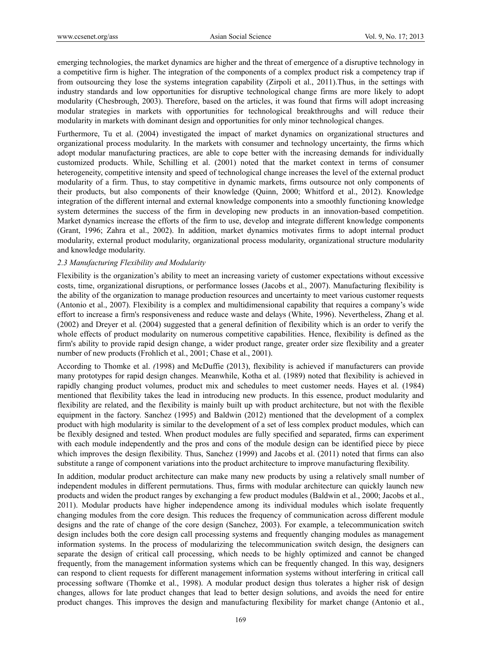emerging technologies, the market dynamics are higher and the threat of emergence of a disruptive technology in a competitive firm is higher. The integration of the components of a complex product risk a competency trap if from outsourcing they lose the systems integration capability (Zirpoli et al., 2011).Thus, in the settings with industry standards and low opportunities for disruptive technological change firms are more likely to adopt modularity (Chesbrough, 2003). Therefore, based on the articles, it was found that firms will adopt increasing modular strategies in markets with opportunities for technological breakthroughs and will reduce their modularity in markets with dominant design and opportunities for only minor technological changes.

Furthermore, Tu et al. (2004) investigated the impact of market dynamics on organizational structures and organizational process modularity. In the markets with consumer and technology uncertainty, the firms which adopt modular manufacturing practices, are able to cope better with the increasing demands for individually customized products. While, Schilling et al. (2001) noted that the market context in terms of consumer heterogeneity, competitive intensity and speed of technological change increases the level of the external product modularity of a firm. Thus, to stay competitive in dynamic markets, firms outsource not only components of their products, but also components of their knowledge (Quinn, 2000; Whitford et al., 2012). Knowledge integration of the different internal and external knowledge components into a smoothly functioning knowledge system determines the success of the firm in developing new products in an innovation-based competition. Market dynamics increase the efforts of the firm to use, develop and integrate different knowledge components (Grant, 1996; Zahra et al., 2002). In addition, market dynamics motivates firms to adopt internal product modularity, external product modularity, organizational process modularity, organizational structure modularity and knowledge modularity.

## *2.3 Manufacturing Flexibility and Modularity*

Flexibility is the organization's ability to meet an increasing variety of customer expectations without excessive costs, time, organizational disruptions, or performance losses (Jacobs et al., 2007). Manufacturing flexibility is the ability of the organization to manage production resources and uncertainty to meet various customer requests (Antonio et al., 2007). Flexibility is a complex and multidimensional capability that requires a company's wide effort to increase a firm's responsiveness and reduce waste and delays (White, 1996). Nevertheless, Zhang et al. (2002) and Dreyer et al. (2004) suggested that a general definition of flexibility which is an order to verify the whole effects of product modularity on numerous competitive capabilities. Hence, flexibility is defined as the firm's ability to provide rapid design change, a wider product range, greater order size flexibility and a greater number of new products (Frohlich et al., 2001; Chase et al., 2001).

According to Thomke et al. *(*1998) and McDuffie (2013), flexibility is achieved if manufacturers can provide many prototypes for rapid design changes. Meanwhile, Kotha et al. (1989) noted that flexibility is achieved in rapidly changing product volumes, product mix and schedules to meet customer needs. Hayes et al. (1984) mentioned that flexibility takes the lead in introducing new products. In this essence, product modularity and flexibility are related, and the flexibility is mainly built up with product architecture, but not with the flexible equipment in the factory. Sanchez (1995) and Baldwin (2012) mentioned that the development of a complex product with high modularity is similar to the development of a set of less complex product modules, which can be flexibly designed and tested. When product modules are fully specified and separated, firms can experiment with each module independently and the pros and cons of the module design can be identified piece by piece which improves the design flexibility. Thus, Sanchez (1999) and Jacobs et al. (2011) noted that firms can also substitute a range of component variations into the product architecture to improve manufacturing flexibility.

In addition, modular product architecture can make many new products by using a relatively small number of independent modules in different permutations. Thus, firms with modular architecture can quickly launch new products and widen the product ranges by exchanging a few product modules (Baldwin et al., 2000; Jacobs et al., 2011). Modular products have higher independence among its individual modules which isolate frequently changing modules from the core design. This reduces the frequency of communication across different module designs and the rate of change of the core design (Sanchez, 2003). For example, a telecommunication switch design includes both the core design call processing systems and frequently changing modules as management information systems. In the process of modularizing the telecommunication switch design, the designers can separate the design of critical call processing, which needs to be highly optimized and cannot be changed frequently, from the management information systems which can be frequently changed. In this way, designers can respond to client requests for different management information systems without interfering in critical call processing software (Thomke et al., 1998). A modular product design thus tolerates a higher risk of design changes, allows for late product changes that lead to better design solutions, and avoids the need for entire product changes. This improves the design and manufacturing flexibility for market change (Antonio et al.,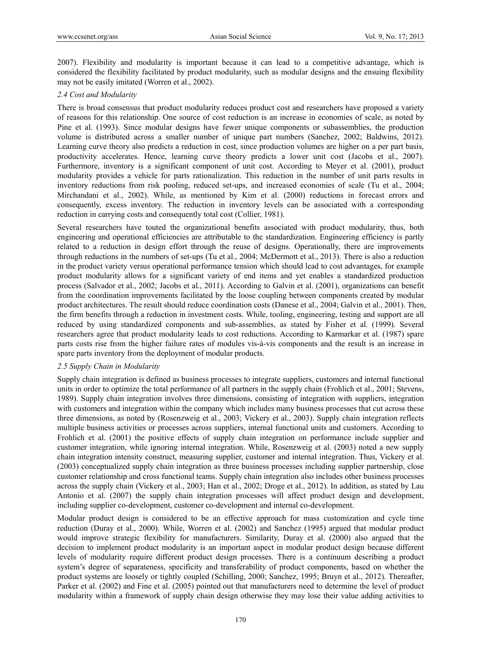2007). Flexibility and modularity is important because it can lead to a competitive advantage, which is considered the flexibility facilitated by product modularity, such as modular designs and the ensuing flexibility may not be easily imitated (Worren et al., 2002).

# *2.4 Cost and Modularity*

There is broad consensus that product modularity reduces product cost and researchers have proposed a variety of reasons for this relationship. One source of cost reduction is an increase in economies of scale, as noted by Pine et al. (1993). Since modular designs have fewer unique components or subassemblies, the production volume is distributed across a smaller number of unique part numbers (Sanchez, 2002; Baldwins, 2012). Learning curve theory also predicts a reduction in cost, since production volumes are higher on a per part basis, productivity accelerates. Hence, learning curve theory predicts a lower unit cost (Jacobs et al., 2007). Furthermore, inventory is a significant component of unit cost. According to Meyer et al. (2001), product modularity provides a vehicle for parts rationalization. This reduction in the number of unit parts results in inventory reductions from risk pooling, reduced set-ups, and increased economies of scale (Tu et al., 2004; Mirchandani et al., 2002). While, as mentioned by Kim et al. (2000) reductions in forecast errors and consequently, excess inventory. The reduction in inventory levels can be associated with a corresponding reduction in carrying costs and consequently total cost (Collier, 1981).

Several researchers have touted the organizational benefits associated with product modularity, thus, both engineering and operational efficiencies are attributable to the standardization. Engineering efficiency is partly related to a reduction in design effort through the reuse of designs. Operationally, there are improvements through reductions in the numbers of set-ups (Tu et al., 2004; McDermott et al., 2013). There is also a reduction in the product variety versus operational performance tension which should lead to cost advantages, for example product modularity allows for a significant variety of end items and yet enables a standardized production process (Salvador et al., 2002; Jacobs et al., 2011). According to Galvin et al. (2001), organizations can benefit from the coordination improvements facilitated by the loose coupling between components created by modular product architectures. The result should reduce coordination costs (Danese et al., 2004; Galvin et al., 2001). Then, the firm benefits through a reduction in investment costs. While, tooling, engineering, testing and support are all reduced by using standardized components and sub-assemblies, as stated by Fisher et al. (1999). Several researchers agree that product modularity leads to cost reductions. According to Karmarkar et al. (1987) spare parts costs rise from the higher failure rates of modules vis-à-vis components and the result is an increase in spare parts inventory from the deployment of modular products.

#### *2.5 Supply Chain in Modularity*

Supply chain integration is defined as business processes to integrate suppliers, customers and internal functional units in order to optimize the total performance of all partners in the supply chain (Frohlich et al., 2001; Stevens, 1989). Supply chain integration involves three dimensions, consisting of integration with suppliers, integration with customers and integration within the company which includes many business processes that cut across these three dimensions, as noted by (Rosenzweig et al., 2003; Vickery et al., 2003). Supply chain integration reflects multiple business activities or processes across suppliers, internal functional units and customers. According to Frohlich et al. (2001) the positive effects of supply chain integration on performance include supplier and customer integration, while ignoring internal integration. While, Rosenzweig et al. (2003) noted a new supply chain integration intensity construct, measuring supplier, customer and internal integration. Thus, Vickery et al. (2003) conceptualized supply chain integration as three business processes including supplier partnership, close customer relationship and cross functional teams. Supply chain integration also includes other business processes across the supply chain (Vickery et al., 2003; Han et al., 2002; Droge et al., 2012). In addition, as stated by Lau Antonio et al. (2007) the supply chain integration processes will affect product design and development, including supplier co-development, customer co-development and internal co-development.

Modular product design is considered to be an effective approach for mass customization and cycle time reduction (Duray et al., 2000). While, Worren et al. (2002) and Sanchez (1995) argued that modular product would improve strategic flexibility for manufacturers. Similarity, Duray et al. (2000) also argued that the decision to implement product modularity is an important aspect in modular product design because different levels of modularity require different product design processes. There is a continuum describing a product system's degree of separateness, specificity and transferability of product components, based on whether the product systems are loosely or tightly coupled (Schilling, 2000; Sanchez, 1995; Bruyn et al., 2012). Thereafter, Parker et al. (2002) and Fine et al. (2005) pointed out that manufacturers need to determine the level of product modularity within a framework of supply chain design otherwise they may lose their value adding activities to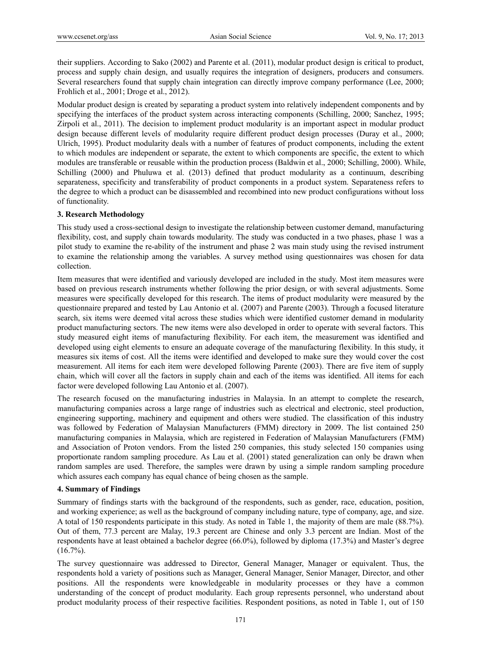their suppliers. According to Sako (2002) and Parente et al. (2011), modular product design is critical to product, process and supply chain design, and usually requires the integration of designers, producers and consumers. Several researchers found that supply chain integration can directly improve company performance (Lee, 2000; Frohlich et al., 2001; Droge et al., 2012).

Modular product design is created by separating a product system into relatively independent components and by specifying the interfaces of the product system across interacting components (Schilling, 2000; Sanchez, 1995; Zirpoli et al., 2011). The decision to implement product modularity is an important aspect in modular product design because different levels of modularity require different product design processes (Duray et al., 2000; Ulrich, 1995). Product modularity deals with a number of features of product components, including the extent to which modules are independent or separate, the extent to which components are specific, the extent to which modules are transferable or reusable within the production process (Baldwin et al., 2000; Schilling, 2000). While, Schilling (2000) and Phuluwa et al. (2013) defined that product modularity as a continuum, describing separateness, specificity and transferability of product components in a product system. Separateness refers to the degree to which a product can be disassembled and recombined into new product configurations without loss of functionality.

#### **3. Research Methodology**

This study used a cross-sectional design to investigate the relationship between customer demand, manufacturing flexibility, cost, and supply chain towards modularity. The study was conducted in a two phases, phase 1 was a pilot study to examine the re-ability of the instrument and phase 2 was main study using the revised instrument to examine the relationship among the variables. A survey method using questionnaires was chosen for data collection.

Item measures that were identified and variously developed are included in the study. Most item measures were based on previous research instruments whether following the prior design, or with several adjustments. Some measures were specifically developed for this research. The items of product modularity were measured by the questionnaire prepared and tested by Lau Antonio et al. (2007) and Parente (2003). Through a focused literature search, six items were deemed vital across these studies which were identified customer demand in modularity product manufacturing sectors. The new items were also developed in order to operate with several factors. This study measured eight items of manufacturing flexibility. For each item, the measurement was identified and developed using eight elements to ensure an adequate coverage of the manufacturing flexibility. In this study, it measures six items of cost. All the items were identified and developed to make sure they would cover the cost measurement. All items for each item were developed following Parente (2003). There are five item of supply chain, which will cover all the factors in supply chain and each of the items was identified. All items for each factor were developed following Lau Antonio et al. (2007).

The research focused on the manufacturing industries in Malaysia. In an attempt to complete the research, manufacturing companies across a large range of industries such as electrical and electronic, steel production, engineering supporting, machinery and equipment and others were studied. The classification of this industry was followed by Federation of Malaysian Manufacturers (FMM) directory in 2009. The list contained 250 manufacturing companies in Malaysia, which are registered in Federation of Malaysian Manufacturers (FMM) and Association of Proton vendors. From the listed 250 companies, this study selected 150 companies using proportionate random sampling procedure. As Lau et al. (2001) stated generalization can only be drawn when random samples are used. Therefore, the samples were drawn by using a simple random sampling procedure which assures each company has equal chance of being chosen as the sample.

#### **4. Summary of Findings**

Summary of findings starts with the background of the respondents, such as gender, race, education, position, and working experience; as well as the background of company including nature, type of company, age, and size. A total of 150 respondents participate in this study. As noted in Table 1, the majority of them are male (88.7%). Out of them, 77.3 percent are Malay, 19.3 percent are Chinese and only 3.3 percent are Indian. Most of the respondents have at least obtained a bachelor degree (66.0%), followed by diploma (17.3%) and Master's degree  $(16.7\%)$ .

The survey questionnaire was addressed to Director, General Manager, Manager or equivalent. Thus, the respondents hold a variety of positions such as Manager, General Manager, Senior Manager, Director, and other positions. All the respondents were knowledgeable in modularity processes or they have a common understanding of the concept of product modularity. Each group represents personnel, who understand about product modularity process of their respective facilities. Respondent positions, as noted in Table 1, out of 150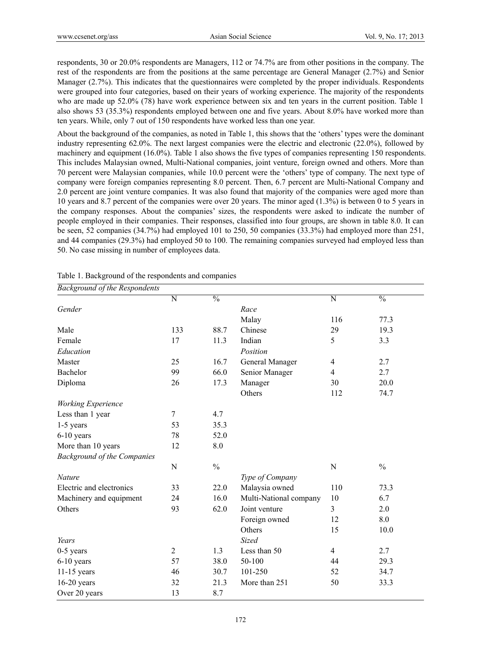respondents, 30 or 20.0% respondents are Managers, 112 or 74.7% are from other positions in the company. The rest of the respondents are from the positions at the same percentage are General Manager (2.7%) and Senior Manager (2.7%). This indicates that the questionnaires were completed by the proper individuals. Respondents were grouped into four categories, based on their years of working experience. The majority of the respondents who are made up 52.0% (78) have work experience between six and ten years in the current position. Table 1 also shows 53 (35.3%) respondents employed between one and five years. About 8.0% have worked more than ten years. While, only 7 out of 150 respondents have worked less than one year.

About the background of the companies, as noted in Table 1, this shows that the 'others' types were the dominant industry representing 62.0%. The next largest companies were the electric and electronic (22.0%), followed by machinery and equipment (16.0%). Table 1 also shows the five types of companies representing 150 respondents. This includes Malaysian owned, Multi-National companies, joint venture, foreign owned and others. More than 70 percent were Malaysian companies, while 10.0 percent were the 'others' type of company. The next type of company were foreign companies representing 8.0 percent. Then, 6.7 percent are Multi-National Company and 2.0 percent are joint venture companies. It was also found that majority of the companies were aged more than 10 years and 8.7 percent of the companies were over 20 years. The minor aged (1.3%) is between 0 to 5 years in the company responses. About the companies' sizes, the respondents were asked to indicate the number of people employed in their companies. Their responses, classified into four groups, are shown in table 8.0. It can be seen, 52 companies (34.7%) had employed 101 to 250, 50 companies (33.3%) had employed more than 251, and 44 companies (29.3%) had employed 50 to 100. The remaining companies surveyed had employed less than 50. No case missing in number of employees data.

| <b>Background of the Respondents</b> |                |               |                        |                |               |
|--------------------------------------|----------------|---------------|------------------------|----------------|---------------|
|                                      | N              | $\frac{0}{0}$ |                        | N              | $\frac{0}{0}$ |
| Gender                               |                |               | Race                   |                |               |
|                                      |                |               | Malay                  | 116            | 77.3          |
| Male                                 | 133            | 88.7          | Chinese                | 29             | 19.3          |
| Female                               | 17             | 11.3          | Indian                 | 5              | 3.3           |
| Education                            |                |               | Position               |                |               |
| Master                               | 25             | 16.7          | General Manager        | $\overline{4}$ | 2.7           |
| Bachelor                             | 99             | 66.0          | Senior Manager         | $\overline{4}$ | 2.7           |
| Diploma                              | 26             | 17.3          | Manager                | 30             | 20.0          |
|                                      |                |               | Others                 | 112            | 74.7          |
| Working Experience                   |                |               |                        |                |               |
| Less than 1 year                     | $\tau$         | 4.7           |                        |                |               |
| 1-5 years                            | 53             | 35.3          |                        |                |               |
| $6-10$ years                         | 78             | 52.0          |                        |                |               |
| More than 10 years                   | 12             | 8.0           |                        |                |               |
| <b>Background of the Companies</b>   |                |               |                        |                |               |
|                                      | N              | $\frac{0}{0}$ |                        | $\mathbf N$    | $\frac{0}{0}$ |
| Nature                               |                |               | Type of Company        |                |               |
| Electric and electronics             | 33             | 22.0          | Malaysia owned         | 110            | 73.3          |
| Machinery and equipment              | 24             | 16.0          | Multi-National company | 10             | 6.7           |
| Others                               | 93             | 62.0          | Joint venture          | 3              | 2.0           |
|                                      |                |               | Foreign owned          | 12             | 8.0           |
|                                      |                |               | Others                 | 15             | 10.0          |
| Years                                |                |               | Sized                  |                |               |
| $0-5$ years                          | $\overline{2}$ | 1.3           | Less than 50           | $\overline{4}$ | 2.7           |
| 6-10 years                           | 57             | 38.0          | 50-100                 | 44             | 29.3          |
| $11-15$ years                        | 46             | 30.7          | 101-250                | 52             | 34.7          |
| $16-20$ years                        | 32             | 21.3          | More than 251          | 50             | 33.3          |
| Over 20 years                        | 13             | 8.7           |                        |                |               |

| Table 1. Background of the respondents and companies |  |  |
|------------------------------------------------------|--|--|
|                                                      |  |  |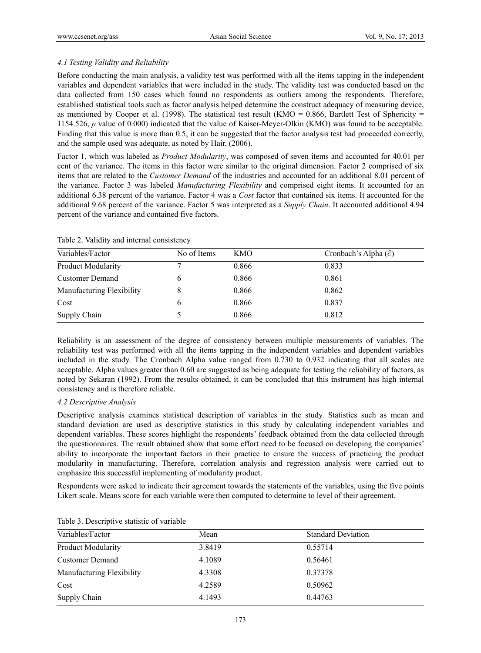# *4.1 Testing Validity and Reliability*

Before conducting the main analysis, a validity test was performed with all the items tapping in the independent variables and dependent variables that were included in the study. The validity test was conducted based on the data collected from 150 cases which found no respondents as outliers among the respondents. Therefore, established statistical tools such as factor analysis helped determine the construct adequacy of measuring device, as mentioned by Cooper et al. (1998). The statistical test result (KMO =  $0.866$ , Bartlett Test of Sphericity = 1154.526, *p* value of 0.000) indicated that the value of Kaiser-Meyer-Olkin (KMO) was found to be acceptable. Finding that this value is more than 0.5, it can be suggested that the factor analysis test had proceeded correctly, and the sample used was adequate, as noted by Hair, (2006).

Factor 1, which was labeled as *Product Modularity*, was composed of seven items and accounted for 40.01 per cent of the variance. The items in this factor were similar to the original dimension. Factor 2 comprised of six items that are related to the *Customer Demand* of the industries and accounted for an additional 8.01 percent of the variance. Factor 3 was labeled *Manufacturing Flexibility* and comprised eight items. It accounted for an additional 6.38 percent of the variance. Factor 4 was a *Cost* factor that contained six items. It accounted for the additional 9.68 percent of the variance. Factor 5 was interpreted as a *Supply Chain*. It accounted additional 4.94 percent of the variance and contained five factors.

| Variables/Factor          | No of Items | KMO   | Cronbach's Alpha $(\partial)$ |
|---------------------------|-------------|-------|-------------------------------|
| Product Modularity        |             | 0.866 | 0.833                         |
| <b>Customer Demand</b>    |             | 0.866 | 0.861                         |
| Manufacturing Flexibility |             | 0.866 | 0.862                         |
| Cost                      | b           | 0.866 | 0.837                         |
| Supply Chain              |             | 0.866 | 0.812                         |

Table 2. Validity and internal consistency

Reliability is an assessment of the degree of consistency between multiple measurements of variables. The reliability test was performed with all the items tapping in the independent variables and dependent variables included in the study. The Cronbach Alpha value ranged from 0.730 to 0.932 indicating that all scales are acceptable. Alpha values greater than 0.60 are suggested as being adequate for testing the reliability of factors, as noted by Sekaran (1992). From the results obtained, it can be concluded that this instrument has high internal consistency and is therefore reliable.

#### *4.2 Descriptive Analysis*

Descriptive analysis examines statistical description of variables in the study. Statistics such as mean and standard deviation are used as descriptive statistics in this study by calculating independent variables and dependent variables. These scores highlight the respondents' feedback obtained from the data collected through the questionnaires. The result obtained show that some effort need to be focused on developing the companies' ability to incorporate the important factors in their practice to ensure the success of practicing the product modularity in manufacturing. Therefore, correlation analysis and regression analysis were carried out to emphasize this successful implementing of modularity product.

Respondents were asked to indicate their agreement towards the statements of the variables, using the five points Likert scale. Means score for each variable were then computed to determine to level of their agreement.

| Variables/Factor          | Mean   | <b>Standard Deviation</b> |
|---------------------------|--------|---------------------------|
| <b>Product Modularity</b> | 3.8419 | 0.55714                   |
| <b>Customer Demand</b>    | 4.1089 | 0.56461                   |
| Manufacturing Flexibility | 4.3308 | 0.37378                   |
| Cost                      | 4.2589 | 0.50962                   |
| Supply Chain              | 4.1493 | 0.44763                   |

Table 3. Descriptive statistic of variable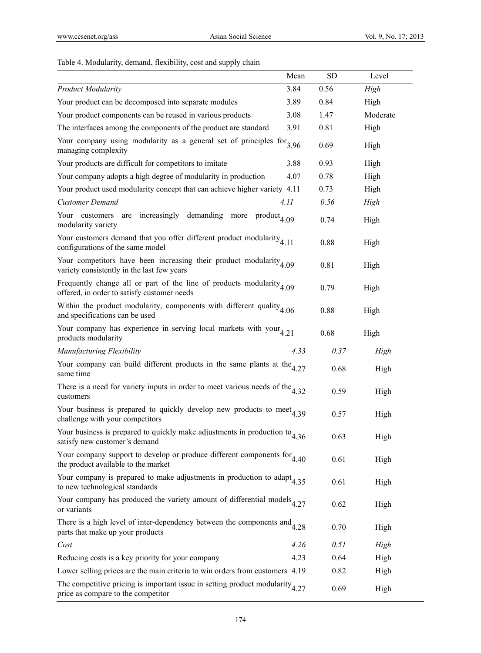# Table 4. Modularity, demand, flexibility, cost and supply chain

|                                                                                                                            | Mean | <b>SD</b> | Level    |
|----------------------------------------------------------------------------------------------------------------------------|------|-----------|----------|
| <b>Product Modularity</b>                                                                                                  | 3.84 | 0.56      | High     |
| Your product can be decomposed into separate modules                                                                       | 3.89 | 0.84      | High     |
| Your product components can be reused in various products                                                                  | 3.08 | 1.47      | Moderate |
| The interfaces among the components of the product are standard                                                            | 3.91 | 0.81      | High     |
| Your company using modularity as a general set of principles $for3.96$<br>managing complexity                              |      | 0.69      | High     |
| Your products are difficult for competitors to imitate                                                                     | 3.88 | 0.93      | High     |
| Your company adopts a high degree of modularity in production                                                              | 4.07 | 0.78      | High     |
| Your product used modularity concept that can achieve higher variety 4.11                                                  |      | 0.73      | High     |
| <b>Customer Demand</b>                                                                                                     | 4.11 | 0.56      | High     |
| increasingly demanding<br>Your customers<br>are<br>more<br>$product_{4.09}$<br>modularity variety                          |      | 0.74      | High     |
| Your customers demand that you offer different product modularity $4.11$<br>configurations of the same model               |      | 0.88      | High     |
| Your competitors have been increasing their product modularity $_{4.09}$<br>variety consistently in the last few years     |      | 0.81      | High     |
| Frequently change all or part of the line of products modularity $_{4.09}$<br>offered, in order to satisfy customer needs  |      | 0.79      | High     |
| Within the product modularity, components with different quality $_{4.06}$<br>and specifications can be used               |      | 0.88      | High     |
| Your company has experience in serving local markets with your $_{4.21}$<br>products modularity                            |      | 0.68      | High     |
| Manufacturing Flexibility                                                                                                  | 4.33 | 0.37      | High     |
| Your company can build different products in the same plants at the $4.27$<br>same time                                    |      | 0.68      | High     |
| There is a need for variety inputs in order to meet various needs of the $4.32$<br>customers                               |      | 0.59      | High     |
| Your business is prepared to quickly develop new products to meet $4.39$<br>challenge with your competitors                |      | 0.57      | High     |
| Your business is prepared to quickly make adjustments in production to $4.36$<br>satisfy new customer's demand             |      | 0.63      | High     |
| Your company support to develop or produce different components for $4.40$<br>the product available to the market          |      | 0.61      | High     |
| Your company is prepared to make adjustments in production to adapt $4.35$<br>to new technological standards               |      | 0.61      | High     |
| Your company has produced the variety amount of differential models $_{4.27}$<br>or variants                               |      | 0.62      | High     |
| There is a high level of inter-dependency between the components $and$ <sub>4.28</sub><br>parts that make up your products |      | 0.70      | High     |
| Cost                                                                                                                       | 4.26 | 0.51      | High     |
| Reducing costs is a key priority for your company                                                                          | 4.23 | 0.64      | High     |
| Lower selling prices are the main criteria to win orders from customers 4.19                                               |      | 0.82      | High     |
| The competitive pricing is important issue in setting product modularity $4.27$<br>price as compare to the competitor      |      | 0.69      | High     |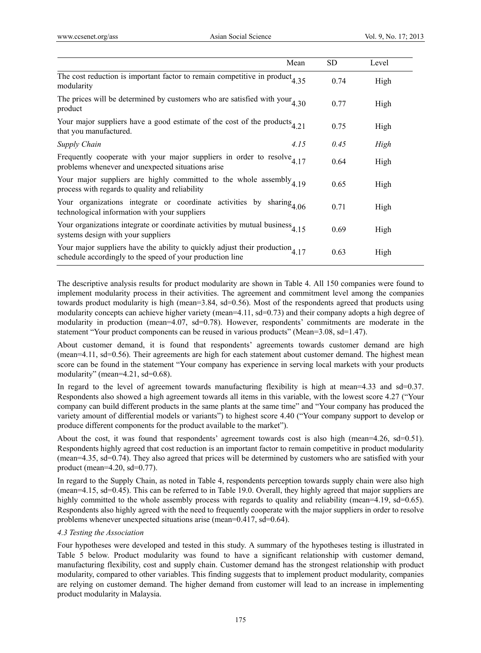|                                                                                                                                              | Mean | SD   | Level |
|----------------------------------------------------------------------------------------------------------------------------------------------|------|------|-------|
| The cost reduction is important factor to remain competitive in product $4.35$<br>modularity                                                 |      | 0.74 | High  |
| The prices will be determined by customers who are satisfied with your $4.30$<br>product                                                     |      | 0.77 | High  |
| Your major suppliers have a good estimate of the cost of the products $4.21$<br>that you manufactured.                                       |      | 0.75 | High  |
| Supply Chain                                                                                                                                 | 4.15 | 0.45 | High  |
| Frequently cooperate with your major suppliers in order to resolve $4.17$<br>problems whenever and unexpected situations arise               |      | 0.64 | High  |
| Your major suppliers are highly committed to the whole assembly $4.19$<br>process with regards to quality and reliability                    |      | 0.65 | High  |
| Your organizations integrate or coordinate activities by sharing $4.06$<br>technological information with your suppliers                     |      | 0.71 | High  |
| Your organizations integrate or coordinate activities by mutual business $4.15$<br>systems design with your suppliers                        |      | 0.69 | High  |
| Your major suppliers have the ability to quickly adjust their production $4.17$<br>schedule accordingly to the speed of your production line |      | 0.63 | High  |

The descriptive analysis results for product modularity are shown in Table 4. All 150 companies were found to implement modularity process in their activities. The agreement and commitment level among the companies towards product modularity is high (mean=3.84, sd=0.56). Most of the respondents agreed that products using modularity concepts can achieve higher variety (mean=4.11, sd=0.73) and their company adopts a high degree of modularity in production (mean=4.07, sd=0.78). However, respondents' commitments are moderate in the statement "Your product components can be reused in various products" (Mean=3.08, sd=1.47).

About customer demand, it is found that respondents' agreements towards customer demand are high (mean=4.11, sd=0.56). Their agreements are high for each statement about customer demand. The highest mean score can be found in the statement "Your company has experience in serving local markets with your products modularity" (mean=4.21, sd=0.68).

In regard to the level of agreement towards manufacturing flexibility is high at mean=4.33 and sd=0.37. Respondents also showed a high agreement towards all items in this variable, with the lowest score 4.27 ("Your company can build different products in the same plants at the same time" and "Your company has produced the variety amount of differential models or variants") to highest score 4.40 ("Your company support to develop or produce different components for the product available to the market").

About the cost, it was found that respondents' agreement towards cost is also high (mean=4.26, sd=0.51). Respondents highly agreed that cost reduction is an important factor to remain competitive in product modularity (mean=4.35, sd=0.74). They also agreed that prices will be determined by customers who are satisfied with your product (mean=4.20, sd=0.77).

In regard to the Supply Chain, as noted in Table 4, respondents perception towards supply chain were also high (mean=4.15, sd=0.45). This can be referred to in Table 19.0. Overall, they highly agreed that major suppliers are highly committed to the whole assembly process with regards to quality and reliability (mean=4.19, sd=0.65). Respondents also highly agreed with the need to frequently cooperate with the major suppliers in order to resolve problems whenever unexpected situations arise (mean=0.417, sd=0.64).

#### *4.3 Testing the Association*

Four hypotheses were developed and tested in this study. A summary of the hypotheses testing is illustrated in Table 5 below. Product modularity was found to have a significant relationship with customer demand, manufacturing flexibility, cost and supply chain. Customer demand has the strongest relationship with product modularity, compared to other variables. This finding suggests that to implement product modularity, companies are relying on customer demand. The higher demand from customer will lead to an increase in implementing product modularity in Malaysia.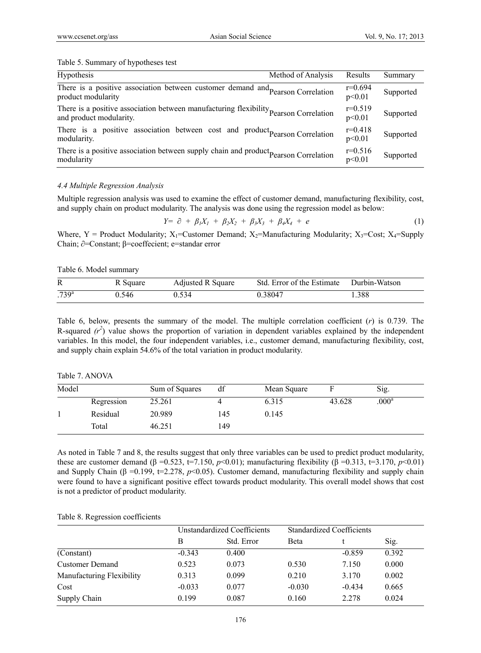Table 5. Summary of hypotheses test

| Hypothesis<br>Method of Analysis                                                                                 | Results             | Summary   |
|------------------------------------------------------------------------------------------------------------------|---------------------|-----------|
| There is a positive association between customer demand and Pearson Correlation<br>product modularity            | $r=0.694$<br>p<0.01 | Supported |
| There is a positive association between manufacturing flexibility pearson Correlation<br>and product modularity. | $r=0.519$<br>p<0.01 | Supported |
| There is a positive association between cost and product pearson Correlation<br>modularity.                      | $r=0.418$<br>p<0.01 | Supported |
| There is a positive association between supply chain and product pearson Correlation<br>modularity               | $r=0.516$<br>p<0.01 | Supported |

### *4.4 Multiple Regression Analysis*

Multiple regression analysis was used to examine the effect of customer demand, manufacturing flexibility, cost, and supply chain on product modularity. The analysis was done using the regression model as below:

$$
Y = \partial + \beta_1 X_1 + \beta_2 X_2 + \beta_3 X_3 + \beta_4 X_4 + e \tag{1}
$$

Where, Y = Product Modularity;  $X_1$ =Customer Demand;  $X_2$ =Manufacturing Modularity;  $X_3$ =Cost;  $X_4$ =Supply Chain; ∂=Constant; β=coeffecient; e=standar error

Table 6. Model summary

|            | R Square | Adjusted R Square | Std. Error of the Estimate Durbin-Watson |      |
|------------|----------|-------------------|------------------------------------------|------|
| $.739^{a}$ | 0.546    | 0.534             | 0.38047                                  | .388 |

Table 6, below, presents the summary of the model. The multiple correlation coefficient (*r*) is 0.739. The R-squared  $(r^2)$  value shows the proportion of variation in dependent variables explained by the independent variables. In this model, the four independent variables, i.e., customer demand, manufacturing flexibility, cost, and supply chain explain 54.6% of the total variation in product modularity.

| Table 7. ANOVA |
|----------------|
|----------------|

| Model |            | Sum of Squares | df  | Mean Square |        | Sig.           |  |
|-------|------------|----------------|-----|-------------|--------|----------------|--|
|       | Regression | 25.261         |     | 6.315       | 43.628 | $.000^{\rm a}$ |  |
|       | Residual   | 20.989         | 145 | 0.145       |        |                |  |
|       | Total      | 46.251         | 149 |             |        |                |  |

As noted in Table 7 and 8, the results suggest that only three variables can be used to predict product modularity, these are customer demand (β =0.523, t=7.150, *p*<0.01); manufacturing flexibility (β =0.313, t=3.170, *p*<0.01) and Supply Chain ( $\beta$  =0.199, t=2.278,  $p<0.05$ ). Customer demand, manufacturing flexibility and supply chain were found to have a significant positive effect towards product modularity. This overall model shows that cost is not a predictor of product modularity.

Table 8. Regression coefficients

|                           | Unstandardized Coefficients |            |          | <b>Standardized Coefficients</b> |       |
|---------------------------|-----------------------------|------------|----------|----------------------------------|-------|
|                           | В                           | Std. Error | Beta     |                                  | Sig.  |
| (Constant)                | $-0.343$                    | 0.400      |          | $-0.859$                         | 0.392 |
| <b>Customer Demand</b>    | 0.523                       | 0.073      | 0.530    | 7.150                            | 0.000 |
| Manufacturing Flexibility | 0.313                       | 0.099      | 0.210    | 3.170                            | 0.002 |
| Cost                      | $-0.033$                    | 0.077      | $-0.030$ | $-0.434$                         | 0.665 |
| Supply Chain              | 0.199                       | 0.087      | 0.160    | 2.278                            | 0.024 |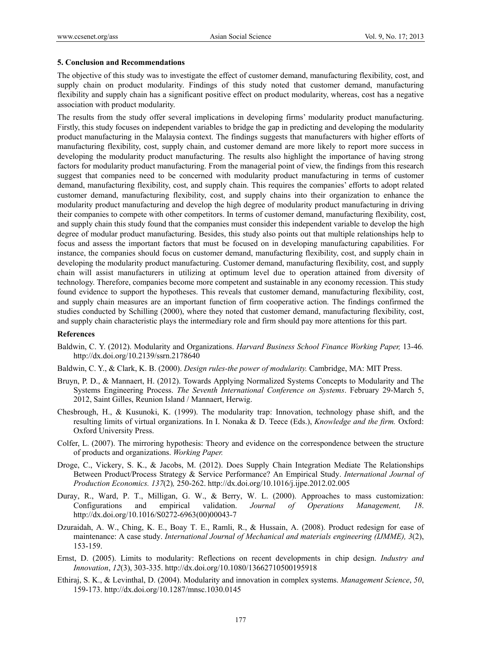#### **5. Conclusion and Recommendations**

The objective of this study was to investigate the effect of customer demand, manufacturing flexibility, cost, and supply chain on product modularity. Findings of this study noted that customer demand, manufacturing flexibility and supply chain has a significant positive effect on product modularity, whereas, cost has a negative association with product modularity.

The results from the study offer several implications in developing firms' modularity product manufacturing. Firstly, this study focuses on independent variables to bridge the gap in predicting and developing the modularity product manufacturing in the Malaysia context. The findings suggests that manufacturers with higher efforts of manufacturing flexibility, cost, supply chain, and customer demand are more likely to report more success in developing the modularity product manufacturing. The results also highlight the importance of having strong factors for modularity product manufacturing. From the managerial point of view, the findings from this research suggest that companies need to be concerned with modularity product manufacturing in terms of customer demand, manufacturing flexibility, cost, and supply chain. This requires the companies' efforts to adopt related customer demand, manufacturing flexibility, cost, and supply chains into their organization to enhance the modularity product manufacturing and develop the high degree of modularity product manufacturing in driving their companies to compete with other competitors. In terms of customer demand, manufacturing flexibility, cost, and supply chain this study found that the companies must consider this independent variable to develop the high degree of modular product manufacturing. Besides, this study also points out that multiple relationships help to focus and assess the important factors that must be focused on in developing manufacturing capabilities. For instance, the companies should focus on customer demand, manufacturing flexibility, cost, and supply chain in developing the modularity product manufacturing. Customer demand, manufacturing flexibility, cost, and supply chain will assist manufacturers in utilizing at optimum level due to operation attained from diversity of technology. Therefore, companies become more competent and sustainable in any economy recession. This study found evidence to support the hypotheses. This reveals that customer demand, manufacturing flexibility, cost, and supply chain measures are an important function of firm cooperative action. The findings confirmed the studies conducted by Schilling (2000), where they noted that customer demand, manufacturing flexibility, cost, and supply chain characteristic plays the intermediary role and firm should pay more attentions for this part.

#### **References**

Baldwin, C. Y. (2012). Modularity and Organizations. *Harvard Business School Finance Working Paper,* 13-46*.*  http://dx.doi.org/10.2139/ssrn.2178640

Baldwin, C. Y., & Clark, K. B. (2000). *Design rules-the power of modularity.* Cambridge, MA: MIT Press.

- Bruyn, P. D., & Mannaert, H. (2012). Towards Applying Normalized Systems Concepts to Modularity and The Systems Engineering Process. *The Seventh International Conference on Systems*. February 29-March 5, 2012, Saint Gilles, Reunion Island / Mannaert, Herwig.
- Chesbrough, H., & Kusunoki, K. (1999). The modularity trap: Innovation, technology phase shift, and the resulting limits of virtual organizations. In I. Nonaka & D. Teece (Eds.), *Knowledge and the firm.* Oxford: Oxford University Press.
- Colfer, L. (2007). The mirroring hypothesis: Theory and evidence on the correspondence between the structure of products and organizations. *Working Paper.*
- Droge, C., Vickery, S. K., & Jacobs, M. (2012). Does Supply Chain Integration Mediate The Relationships Between Product/Process Strategy & Service Performance? An Empirical Study. *International Journal of Production Economics. 137*(2)*,* 250-262. http://dx.doi.org/10.1016/j.ijpe.2012.02.005
- Duray, R., Ward, P. T., Milligan, G. W., & Berry, W. L. (2000). Approaches to mass customization: Configurations and empirical validation. *Journal of Operations Management, 18*. http://dx.doi.org/10.1016/S0272-6963(00)00043-7
- Dzuraidah, A. W., Ching, K. E., Boay T. E., Ramli, R., & Hussain, A. (2008). Product redesign for ease of maintenance: A case study. *International Journal of Mechanical and materials engineering (IJMME), 3*(2), 153-159.
- Ernst, D. (2005). Limits to modularity: Reflections on recent developments in chip design. *Industry and Innovation*, *12*(3), 303-335. http://dx.doi.org/10.1080/13662710500195918
- Ethiraj, S. K., & Levinthal, D. (2004). Modularity and innovation in complex systems. *Management Science*, *50*, 159-173. http://dx.doi.org/10.1287/mnsc.1030.0145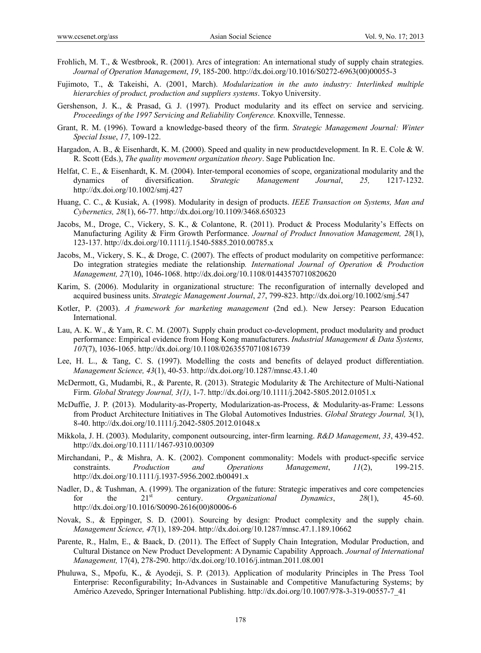- Frohlich, M. T., & Westbrook, R. (2001). Arcs of integration: An international study of supply chain strategies. *Journal of Operation Management*, *19*, 185-200. http://dx.doi.org/10.1016/S0272-6963(00)00055-3
- Fujimoto, T., & Takeishi, A. (2001, March). *Modularization in the auto industry: Interlinked multiple hierarchies of product, production and suppliers systems*. Tokyo University.
- Gershenson, J. K., & Prasad, G. J. (1997). Product modularity and its effect on service and servicing. *Proceedings of the 1997 Servicing and Reliability Conference.* Knoxville, Tennesse.
- Grant, R. M. (1996). Toward a knowledge-based theory of the firm. *Strategic Management Journal: Winter Special Issue*, *17*, 109-122.
- Hargadon, A. B., & Eisenhardt, K. M. (2000). Speed and quality in new productdevelopment. In R. E. Cole & W. R. Scott (Eds.), *The quality movement organization theory*. Sage Publication Inc.
- Helfat, C. E., & Eisenhardt, K. M. (2004). Inter-temporal economies of scope, organizational modularity and the dynamics of diversification. *Strategic Management Journal*, *25,* 1217-1232. http://dx.doi.org/10.1002/smj.427
- Huang, C. C., & Kusiak, A. (1998). Modularity in design of products. *IEEE Transaction on Systems, Man and Cybernetics, 28*(1), 66-77. http://dx.doi.org/10.1109/3468.650323
- Jacobs, M., Droge, C., Vickery, S. K., & Colantone, R. (2011). Product & Process Modularity's Effects on Manufacturing Agility & Firm Growth Performance. *Journal of Product Innovation Management, 28*(1), 123-137. http://dx.doi.org/10.1111/j.1540-5885.2010.00785.x
- Jacobs, M., Vickery, S. K., & Droge, C. (2007). The effects of product modularity on competitive performance: Do integration strategies mediate the relationship*. International Journal of Operation & Production Management, 27*(10), 1046-1068. http://dx.doi.org/10.1108/01443570710820620
- Karim, S. (2006). Modularity in organizational structure: The reconfiguration of internally developed and acquired business units. *Strategic Management Journal*, *27*, 799-823. http://dx.doi.org/10.1002/smj.547
- Kotler, P. (2003). *A framework for marketing management* (2nd ed.). New Jersey: Pearson Education International.
- Lau, A. K. W., & Yam, R. C. M. (2007). Supply chain product co-development, product modularity and product performance: Empirical evidence from Hong Kong manufacturers. *Industrial Management & Data Systems, 107*(7), 1036-1065. http://dx.doi.org/10.1108/02635570710816739
- Lee, H. L., & Tang, C. S. (1997). Modelling the costs and benefits of delayed product differentiation. *Management Science, 43*(1), 40-53. http://dx.doi.org/10.1287/mnsc.43.1.40
- McDermott, G., Mudambi, R., & Parente, R. (2013). Strategic Modularity & The Architecture of Multi-National Firm. *Global Strategy Journal, 3(1)*, 1-7. http://dx.doi.org/10.1111/j.2042-5805.2012.01051.x
- McDuffie, J. P. (2013). Modularity-as-Property, Modularization-as-Process, & Modularity-as-Frame: Lessons from Product Architecture Initiatives in The Global Automotives Industries. *Global Strategy Journal,* 3(1), 8-40. http://dx.doi.org/10.1111/j.2042-5805.2012.01048.x
- Mikkola, J. H. (2003). Modularity, component outsourcing, inter-firm learning. *R&D Management*, *33*, 439-452. http://dx.doi.org/10.1111/1467-9310.00309
- Mirchandani, P., & Mishra, A. K. (2002). Component commonality: Models with product-specific service constraints. *Production and Operations Management*, *11*(2), 199-215. http://dx.doi.org/10.1111/j.1937-5956.2002.tb00491.x
- Nadler, D., & Tushman, A. (1999). The organization of the future: Strategic imperatives and core competencies for the  $21<sup>st</sup>$  century. *Organizational Dynamics*,  $28(1)$ , 45-60. http://dx.doi.org/10.1016/S0090-2616(00)80006-6
- Novak, S., & Eppinger, S. D. (2001). Sourcing by design: Product complexity and the supply chain. *Management Science, 47*(1), 189-204. http://dx.doi.org/10.1287/mnsc.47.1.189.10662
- Parente, R., Halm, E., & Baack, D. (2011). The Effect of Supply Chain Integration, Modular Production, and Cultural Distance on New Product Development: A Dynamic Capability Approach. *Journal of International Management,* 17(4), 278-290. http://dx.doi.org/10.1016/j.intman.2011.08.001
- Phuluwa, S., Mpofu, K., & Ayodeji, S. P. (2013). Application of modularity Principles in The Press Tool Enterprise: Reconfigurability; In-Advances in Sustainable and Competitive Manufacturing Systems; by Américo Azevedo, Springer International Publishing. http://dx.doi.org/10.1007/978-3-319-00557-7\_41